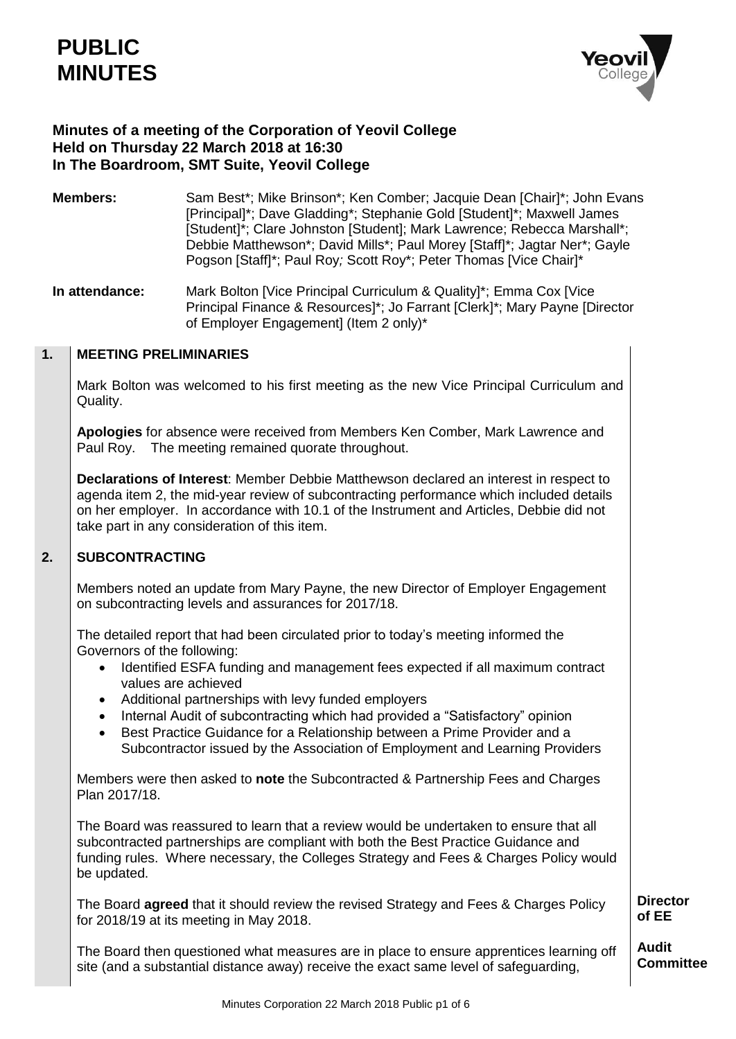# **PUBLIC MINUTES**



# **Minutes of a meeting of the Corporation of Yeovil College Held on Thursday 22 March 2018 at 16:30 In The Boardroom, SMT Suite, Yeovil College**

**Members:** Sam Best\*; Mike Brinson\*; Ken Comber; Jacquie Dean [Chair]\*; John Evans [Principal]\*; Dave Gladding\*; Stephanie Gold [Student]\*; Maxwell James [Student]\*; Clare Johnston [Student]; Mark Lawrence; Rebecca Marshall\*; Debbie Matthewson\*; David Mills\*; Paul Morey [Staff]\*; Jagtar Ner\*; Gayle Pogson [Staff]\*; Paul Roy*;* Scott Roy\*; Peter Thomas [Vice Chair]\*

**In attendance:** Mark Bolton [Vice Principal Curriculum & Quality]\*; Emma Cox [Vice Principal Finance & Resources]\*; Jo Farrant [Clerk]\*; Mary Payne [Director of Employer Engagement] (Item 2 only)\*

#### **1. MEETING PRELIMINARIES**

Mark Bolton was welcomed to his first meeting as the new Vice Principal Curriculum and Quality.

**Apologies** for absence were received from Members Ken Comber, Mark Lawrence and Paul Roy. The meeting remained quorate throughout.

**Declarations of Interest**: Member Debbie Matthewson declared an interest in respect to agenda item 2, the mid-year review of subcontracting performance which included details on her employer. In accordance with 10.1 of the Instrument and Articles, Debbie did not take part in any consideration of this item.

#### **2. SUBCONTRACTING**

Members noted an update from Mary Payne, the new Director of Employer Engagement on subcontracting levels and assurances for 2017/18.

The detailed report that had been circulated prior to today's meeting informed the Governors of the following:

- Identified ESFA funding and management fees expected if all maximum contract values are achieved
- Additional partnerships with levy funded employers
- Internal Audit of subcontracting which had provided a "Satisfactory" opinion
- Best Practice Guidance for a Relationship between a Prime Provider and a Subcontractor issued by the Association of Employment and Learning Providers

Members were then asked to **note** the Subcontracted & Partnership Fees and Charges Plan 2017/18.

The Board was reassured to learn that a review would be undertaken to ensure that all subcontracted partnerships are compliant with both the Best Practice Guidance and funding rules. Where necessary, the Colleges Strategy and Fees & Charges Policy would be updated.

The Board **agreed** that it should review the revised Strategy and Fees & Charges Policy for 2018/19 at its meeting in May 2018.

**Director of EE**

The Board then questioned what measures are in place to ensure apprentices learning off site (and a substantial distance away) receive the exact same level of safeguarding, **Audit Committee**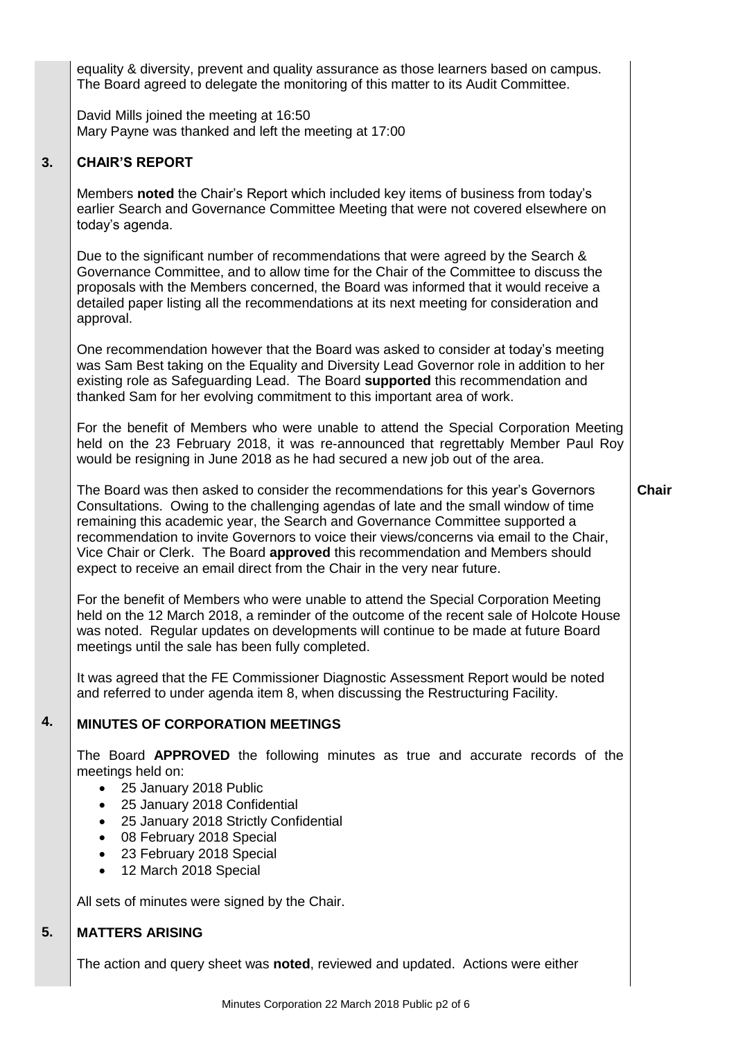equality & diversity, prevent and quality assurance as those learners based on campus. The Board agreed to delegate the monitoring of this matter to its Audit Committee.

David Mills joined the meeting at 16:50 Mary Payne was thanked and left the meeting at 17:00

#### **3. CHAIR'S REPORT**

Members **noted** the Chair's Report which included key items of business from today's earlier Search and Governance Committee Meeting that were not covered elsewhere on today's agenda.

Due to the significant number of recommendations that were agreed by the Search & Governance Committee, and to allow time for the Chair of the Committee to discuss the proposals with the Members concerned, the Board was informed that it would receive a detailed paper listing all the recommendations at its next meeting for consideration and approval.

One recommendation however that the Board was asked to consider at today's meeting was Sam Best taking on the Equality and Diversity Lead Governor role in addition to her existing role as Safeguarding Lead. The Board **supported** this recommendation and thanked Sam for her evolving commitment to this important area of work.

For the benefit of Members who were unable to attend the Special Corporation Meeting held on the 23 February 2018, it was re-announced that regrettably Member Paul Roy would be resigning in June 2018 as he had secured a new job out of the area.

**Chair** 

The Board was then asked to consider the recommendations for this year's Governors Consultations. Owing to the challenging agendas of late and the small window of time remaining this academic year, the Search and Governance Committee supported a recommendation to invite Governors to voice their views/concerns via email to the Chair, Vice Chair or Clerk. The Board **approved** this recommendation and Members should expect to receive an email direct from the Chair in the very near future.

For the benefit of Members who were unable to attend the Special Corporation Meeting held on the 12 March 2018, a reminder of the outcome of the recent sale of Holcote House was noted. Regular updates on developments will continue to be made at future Board meetings until the sale has been fully completed.

It was agreed that the FE Commissioner Diagnostic Assessment Report would be noted and referred to under agenda item 8, when discussing the Restructuring Facility.

#### **4. MINUTES OF CORPORATION MEETINGS**

The Board **APPROVED** the following minutes as true and accurate records of the meetings held on:

- 25 January 2018 Public
- 25 January 2018 Confidential
- 25 January 2018 Strictly Confidential
- 08 February 2018 Special
- 23 February 2018 Special
- 12 March 2018 Special

All sets of minutes were signed by the Chair.

#### **5. MATTERS ARISING**

The action and query sheet was **noted**, reviewed and updated. Actions were either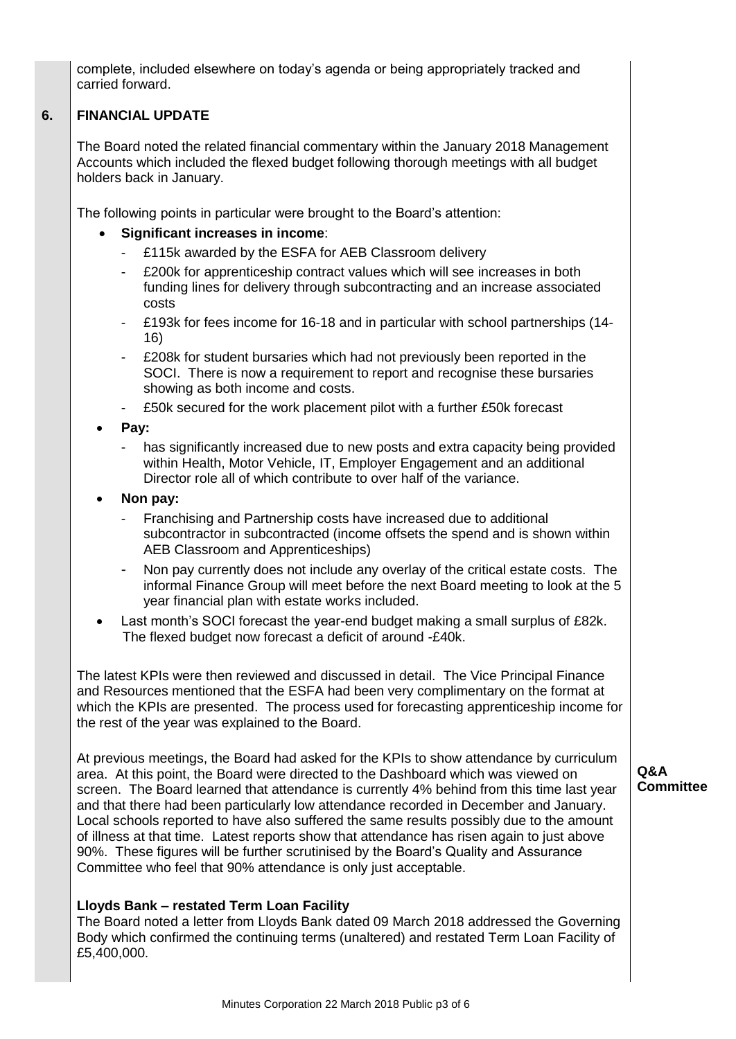complete, included elsewhere on today's agenda or being appropriately tracked and carried forward.

#### **6. FINANCIAL UPDATE**

The Board noted the related financial commentary within the January 2018 Management Accounts which included the flexed budget following thorough meetings with all budget holders back in January.

The following points in particular were brought to the Board's attention:

- **Significant increases in income**:
	- £115k awarded by the ESFA for AEB Classroom delivery
	- £200k for apprenticeship contract values which will see increases in both funding lines for delivery through subcontracting and an increase associated costs
	- £193k for fees income for 16-18 and in particular with school partnerships (14- 16)
	- £208k for student bursaries which had not previously been reported in the SOCI. There is now a requirement to report and recognise these bursaries showing as both income and costs.
	- £50k secured for the work placement pilot with a further £50k forecast
- **Pay:**
	- has significantly increased due to new posts and extra capacity being provided within Health, Motor Vehicle, IT, Employer Engagement and an additional Director role all of which contribute to over half of the variance.
- **Non pay:**
	- Franchising and Partnership costs have increased due to additional subcontractor in subcontracted (income offsets the spend and is shown within AEB Classroom and Apprenticeships)
	- Non pay currently does not include any overlay of the critical estate costs. The informal Finance Group will meet before the next Board meeting to look at the 5 year financial plan with estate works included.
- Last month's SOCI forecast the year-end budget making a small surplus of £82k. The flexed budget now forecast a deficit of around -£40k.

The latest KPIs were then reviewed and discussed in detail. The Vice Principal Finance and Resources mentioned that the ESFA had been very complimentary on the format at which the KPIs are presented. The process used for forecasting apprenticeship income for the rest of the year was explained to the Board.

At previous meetings, the Board had asked for the KPIs to show attendance by curriculum area. At this point, the Board were directed to the Dashboard which was viewed on screen. The Board learned that attendance is currently 4% behind from this time last year and that there had been particularly low attendance recorded in December and January. Local schools reported to have also suffered the same results possibly due to the amount of illness at that time. Latest reports show that attendance has risen again to just above 90%. These figures will be further scrutinised by the Board's Quality and Assurance Committee who feel that 90% attendance is only just acceptable.

## **Lloyds Bank – restated Term Loan Facility**

The Board noted a letter from Lloyds Bank dated 09 March 2018 addressed the Governing Body which confirmed the continuing terms (unaltered) and restated Term Loan Facility of £5,400,000.

**Q&A Committee**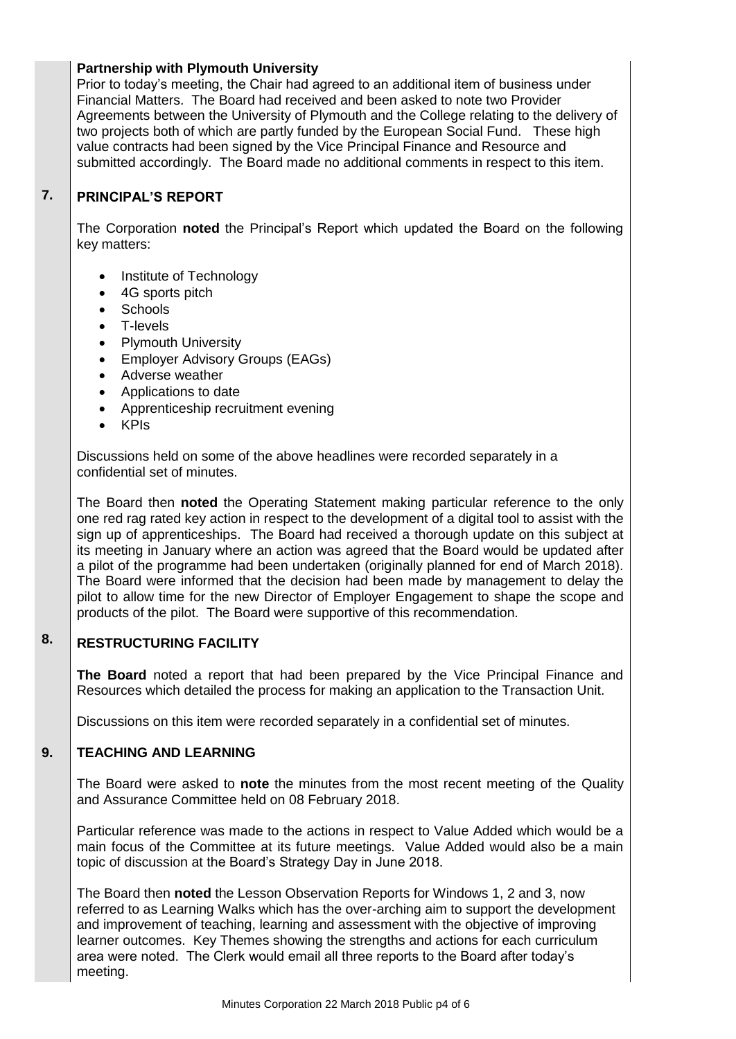# **Partnership with Plymouth University**

Prior to today's meeting, the Chair had agreed to an additional item of business under Financial Matters. The Board had received and been asked to note two Provider Agreements between the University of Plymouth and the College relating to the delivery of two projects both of which are partly funded by the European Social Fund. These high value contracts had been signed by the Vice Principal Finance and Resource and submitted accordingly. The Board made no additional comments in respect to this item.

#### **7. PRINCIPAL'S REPORT**

The Corporation **noted** the Principal's Report which updated the Board on the following key matters:

- Institute of Technology
- 4G sports pitch
- **Schools**
- T-levels
- Plymouth University
- Employer Advisory Groups (EAGs)
- Adverse weather
- Applications to date
- Apprenticeship recruitment evening
- KPIs

Discussions held on some of the above headlines were recorded separately in a confidential set of minutes.

The Board then **noted** the Operating Statement making particular reference to the only one red rag rated key action in respect to the development of a digital tool to assist with the sign up of apprenticeships. The Board had received a thorough update on this subject at its meeting in January where an action was agreed that the Board would be updated after a pilot of the programme had been undertaken (originally planned for end of March 2018). The Board were informed that the decision had been made by management to delay the pilot to allow time for the new Director of Employer Engagement to shape the scope and products of the pilot. The Board were supportive of this recommendation.

#### **8. RESTRUCTURING FACILITY**

**The Board** noted a report that had been prepared by the Vice Principal Finance and Resources which detailed the process for making an application to the Transaction Unit.

Discussions on this item were recorded separately in a confidential set of minutes.

#### **9. TEACHING AND LEARNING**

The Board were asked to **note** the minutes from the most recent meeting of the Quality and Assurance Committee held on 08 February 2018.

Particular reference was made to the actions in respect to Value Added which would be a main focus of the Committee at its future meetings. Value Added would also be a main topic of discussion at the Board's Strategy Day in June 2018.

The Board then **noted** the Lesson Observation Reports for Windows 1, 2 and 3, now referred to as Learning Walks which has the over-arching aim to support the development and improvement of teaching, learning and assessment with the objective of improving learner outcomes. Key Themes showing the strengths and actions for each curriculum area were noted. The Clerk would email all three reports to the Board after today's meeting.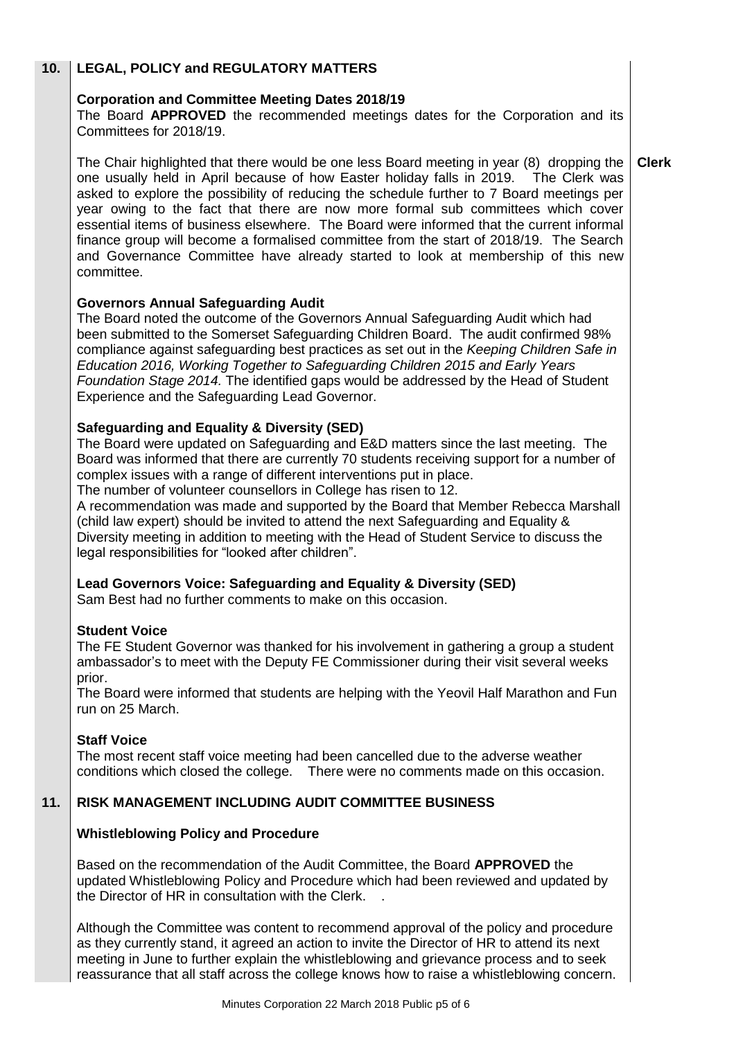#### **10. LEGAL, POLICY and REGULATORY MATTERS**

# **Corporation and Committee Meeting Dates 2018/19**

The Board **APPROVED** the recommended meetings dates for the Corporation and its Committees for 2018/19.

The Chair highlighted that there would be one less Board meeting in year (8) dropping the one usually held in April because of how Easter holiday falls in 2019. The Clerk was asked to explore the possibility of reducing the schedule further to 7 Board meetings per year owing to the fact that there are now more formal sub committees which cover essential items of business elsewhere. The Board were informed that the current informal finance group will become a formalised committee from the start of 2018/19. The Search and Governance Committee have already started to look at membership of this new committee. **Clerk**

# **Governors Annual Safeguarding Audit**

The Board noted the outcome of the Governors Annual Safeguarding Audit which had been submitted to the Somerset Safeguarding Children Board. The audit confirmed 98% compliance against safeguarding best practices as set out in the *Keeping Children Safe in Education 2016, Working Together to Safeguarding Children 2015 and Early Years Foundation Stage 2014.* The identified gaps would be addressed by the Head of Student Experience and the Safeguarding Lead Governor.

# **Safeguarding and Equality & Diversity (SED)**

The Board were updated on Safeguarding and E&D matters since the last meeting. The Board was informed that there are currently 70 students receiving support for a number of complex issues with a range of different interventions put in place.

The number of volunteer counsellors in College has risen to 12.

A recommendation was made and supported by the Board that Member Rebecca Marshall (child law expert) should be invited to attend the next Safeguarding and Equality & Diversity meeting in addition to meeting with the Head of Student Service to discuss the legal responsibilities for "looked after children".

## **Lead Governors Voice: Safeguarding and Equality & Diversity (SED)**

Sam Best had no further comments to make on this occasion.

## **Student Voice**

The FE Student Governor was thanked for his involvement in gathering a group a student ambassador's to meet with the Deputy FE Commissioner during their visit several weeks prior.

The Board were informed that students are helping with the Yeovil Half Marathon and Fun run on 25 March.

## **Staff Voice**

The most recent staff voice meeting had been cancelled due to the adverse weather conditions which closed the college. There were no comments made on this occasion.

#### **11. RISK MANAGEMENT INCLUDING AUDIT COMMITTEE BUSINESS**

## **Whistleblowing Policy and Procedure**

Based on the recommendation of the Audit Committee, the Board **APPROVED** the updated Whistleblowing Policy and Procedure which had been reviewed and updated by the Director of HR in consultation with the Clerk. .

Although the Committee was content to recommend approval of the policy and procedure as they currently stand, it agreed an action to invite the Director of HR to attend its next meeting in June to further explain the whistleblowing and grievance process and to seek reassurance that all staff across the college knows how to raise a whistleblowing concern.